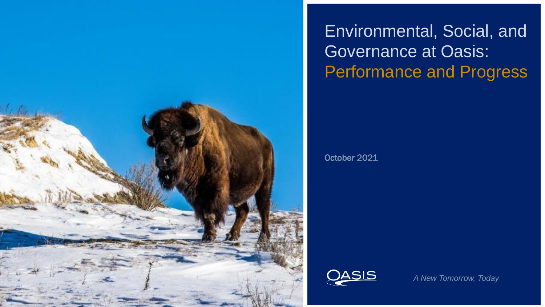

Environmental, Social, and Governance at Oasis: Performance and Progress

October 2021



*A New Tomorrow, Today*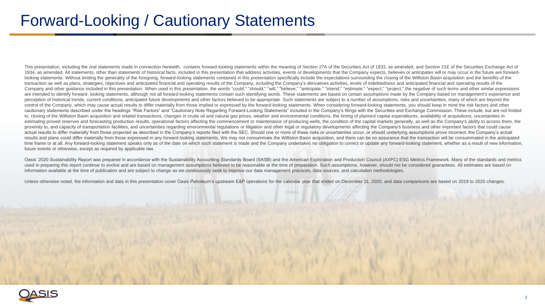# Forward-Looking / Cautionary Statements

This presentation, including the oral statements made in connection herewith, contains forward-looking statements within the meaning of Section 27A of the Securities Act of 1933, as amended, and Section 21E of the Securiti 1934, as amended. All statements, other than statements of historical facts, included in this presentation that address activities, events or developments that the Company expects, believes or anticipates will or may occur looking statements. Without limiting the generality of the foregoing, forward-looking statements contained in this presentation specifically include the expectations surrounding the closing of the Williston Basin acquisiti transaction as well as plans, strategies, objectives and anticipated financial and operating results of the Company, including the Company's derivatives activities, levels of indebtedness and anticipated financial and oper Company and other guidance included in this presentation. When used in this presentation, the words "could," "should," "will," "believe," "anticipate," "intend," "estimate," "expect," "project," the negative of such terms are intended to identify forward- looking statements, although not all forward-looking statements contain such identifying words. These statements are based on certain assumptions made by the Company based on management's perception of historical trends, current conditions, anticipated future developments and other factors believed to be appropriate. Such statements are subject to a number of assumptions, risks and uncertainties, many of wh control of the Company, which may cause actual results to differ materially from those implied or expressed by the forward-looking statements. When considering forward-looking statements, you should keep in mind the risk f cautionary statements described under the headings "Risk Factors" and "Cautionary Note Regarding Forward-Looking Statements" included in the Company's filings with the Securities and Exchange Commission. These include, but to, closing of the Williston Basin acquisition and related transactions, changes in crude oil and natural gas prices, weather and environmental conditions, the timing of planned capital expenditures, availability of acquis estimating proved reserves and forecasting production results, operational factors affecting the commencement or maintenance of producing wells, the condition of the capital markets generally, as well as the Company's abil proximity to, and capacity of transportation facilities, and uncertainties regarding environmental regulations or litigation and other legal or regulatory developments affecting the Company's business and other important f actual results to differ materially from those projected as described in the Company's reports filed with the SEC. Should one or more of these risks or uncertainties occur, or should underlying assumptions prove incorrect, results and plans could differ materially from those expressed in any forward-looking statements. We may not consummate the Williston Basin acquisition, and there can be no assurance that the transaction will be consummate time frame or at all. Any forward-looking statement speaks only as of the date on which such statement is made and the Company undertakes no obligation to correct or update any forward-looking statement. whether as a resul future events or otherwise, except as required by applicable law.

Oasis' 2020 Sustainability Report was prepared in accordance with the Sustainability Accounting Standards Board (SASB) and the American Exploration and Production Council (AXPC) ESG Metrics Framework. Many of the standards used in preparing this report continue to evolve and are based on management assumptions believed to be reasonable at the time of preparation. Such assumptions, however, should not be considered guarantees. All estimates a information available at the time of publication and are subject to change as we continuously seek to improve our data management practices, data sources, and calculation methodologies.

Unless otherwise noted, the information and data in this presentation cover Oasis Petroleum's upstream E&P operations for the calendar year that ended on December 31, 2020, and data comparisons are based on 2019 to 2020 ch

![](_page_1_Picture_4.jpeg)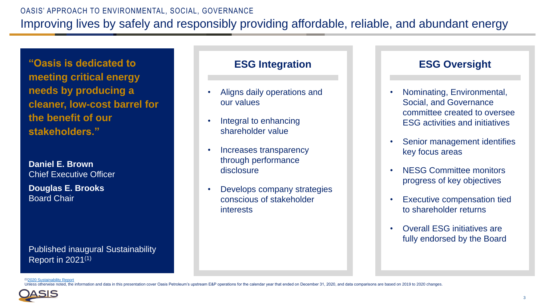## OASIS' APPROACH TO ENVIRONMENTAL, SOCIAL, GOVERNANCE Improving lives by safely and responsibly providing affordable, reliable, and abundant energy

**"Oasis is dedicated to meeting critical energy needs by producing a cleaner, low-cost barrel for the benefit of our stakeholders."**

**Daniel E. Brown** Chief Executive Officer

**Douglas E. Brooks** Board Chair

Published inaugural Sustainability Report in 2021(1)

### **ESG Integration**

- Aligns daily operations and our values
- Integral to enhancing shareholder value
- Increases transparency through performance disclosure
- Develops company strategies conscious of stakeholder interests

### **ESG Oversight**

- Nominating, Environmental, Social, and Governance committee created to oversee ESG activities and initiatives
- Senior management identifies key focus areas
- NESG Committee monitors progress of key objectives
- **Executive compensation tied** to shareholder returns
- Overall ESG initiatives are fully endorsed by the Board

<sup>(1)</sup>[2020 Sustainability Report](https://www.oasispetroleum.com/wp-content/uploads/2021/08/oasis_2020_sr_final_sp.pdf)

se noted, the information and data in this presentation cover Oasis Petroleum's upstream E&P operations for the calendar vear that ended on December 31, 2020, and data comparisons are based on 2019 to 2020 changes

![](_page_2_Picture_18.jpeg)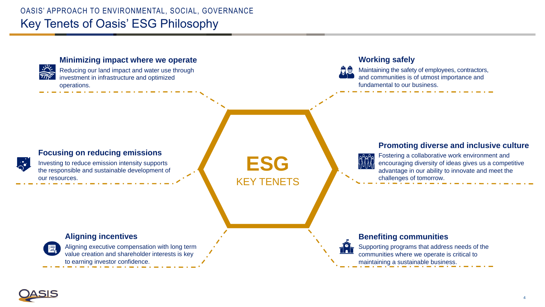## OASIS' APPROACH TO ENVIRONMENTAL, SOCIAL, GOVERNANCE Key Tenets of Oasis' ESG Philosophy

![](_page_3_Figure_1.jpeg)

![](_page_3_Picture_2.jpeg)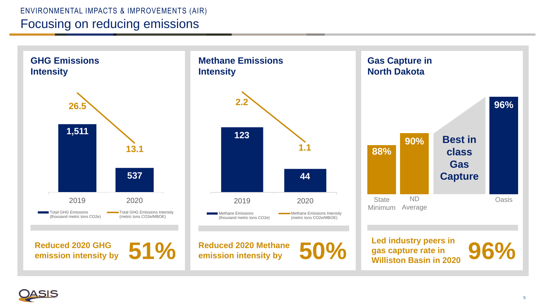## ENVIRONMENTAL IMPACTS & IMPROVEMENTS (AIR) Focusing on reducing emissions

2019 2020 Total GHG Emissions (thousand metric tons CO2e) Total GHG Emissions Intensity (metric tons CO2e/MBOE) **GHG Emissions Intensity 1,511 537 26.5 13.1**

2019 2020 Methane Emissions (thousand metric tons CO2e) Methane Emissions Intensity (metric tons CO2e/MBOE) **Intensity 123 44 2.2**

**Reduced 2020 GHG** 

Reduced 2020 GHG **51% Reduced 2020 Methane**<br> **Example 1996 Led industry peers in**<br> **Example 1996 Led industry peers in**<br> **Example 1998 COP COP Example 1999 COP COP Example 1999 COP COP COP COP COP** Reduced 2020 Methane **50%** Leg moustry peers in **96%** 

**Methane Emissions** 

![](_page_4_Figure_6.jpeg)

![](_page_4_Picture_7.jpeg)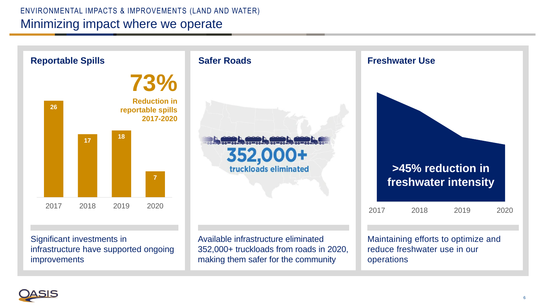## ENVIRONMENTAL IMPACTS & IMPROVEMENTS (LAND AND WATER) Minimizing impact where we operate

![](_page_5_Figure_1.jpeg)

![](_page_5_Picture_2.jpeg)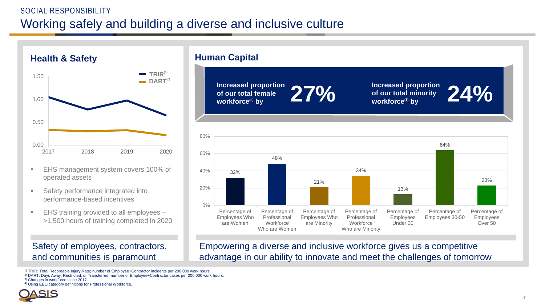## SOCIAL RESPONSIBILITY Working safely and building a diverse and inclusive culture

![](_page_6_Figure_1.jpeg)

- **EHS management system covers 100% of** operated assets
- **Safety performance integrated into** performance-based incentives
- EHS training provided to all employees >1,500 hours of training completed in 2020

#### Safety of employees, contractors, and communities is paramount

**Human Capital**

**Increased proportion of our total female** 

**k** increased proportion  $27\%$  increased proportion of our total female  $\frac{1}{27\%}$  **Increased proportion** of our total minority workforce<sup>(3)</sup> by **of our total minority**  Increased proportion<br>of our total minority<br>workforce<sup>(3)</sup> by

![](_page_6_Figure_11.jpeg)

Empowering a diverse and inclusive workforce gives us a competitive advantage in our ability to innovate and meet the challenges of tomorrow

1) TRIR: Total Recordable Injury Rate; number of Employee+Contractor incidents per 200,000 work hours.

<sup>2)</sup> DART: Days Away, Restricted, or Transferred; number of Employee+Contractor cases per 200,000 work hours.

3) Changes in workforce since 2017.

4) Using EEO category definitions for Professional Workforce.

![](_page_6_Picture_17.jpeg)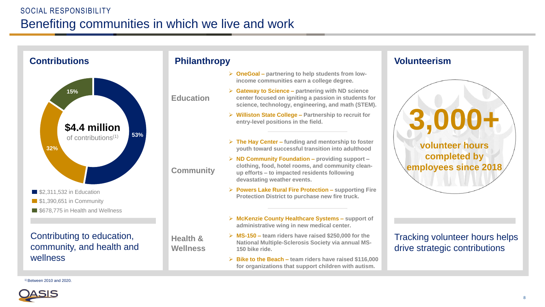## SOCIAL RESPONSIBILITY Benefiting communities in which we live and work

![](_page_7_Figure_1.jpeg)

### **Philanthropy**

- **OneGoal – partnering to help students from lowincome communities earn a college degree.**
- **Gateway to Science – partnering with ND science center focused on igniting a passion in students for science, technology, engineering, and math (STEM).**
	- **Williston State College – Partnership to recruit for entry-level positions in the field.**
	- **The Hay Center – funding and mentorship to foster youth toward successful transition into adulthood**
- **ND Community Foundation – providing support – clothing, food, hotel rooms, and community cleanup efforts – to impacted residents following devastating weather events.**
- **Powers Lake Rural Fire Protection – supporting Fire Protection District to purchase new fire truck.**
- **McKenzie County Healthcare Systems – support of administrative wing in new medical center.**
- **MS-150 – team riders have raised \$250,000 for the National Multiple-Sclerosis Society via annual MS-150 bike ride.**
- **Bike to the Beach – team riders have raised \$116,000 for organizations that support children with autism.**

#### **Volunteerism**

![](_page_7_Picture_13.jpeg)

Tracking volunteer hours helps drive strategic contributions

1) Between 2010 and 2020.

![](_page_7_Picture_16.jpeg)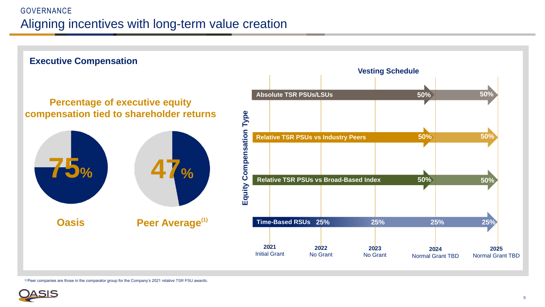## GOVERNANCE Aligning incentives with long-term value creation

![](_page_8_Figure_1.jpeg)

1) Peer companies are those in the comparator group for the Company's 2021 relative TSR PSU awards.

![](_page_8_Picture_3.jpeg)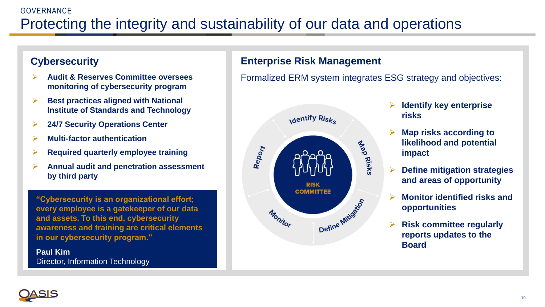## GOVERNANCE Protecting the integrity and sustainability of our data and operations

## **Cybersecurity**

- **Audit & Reserves Committee oversees monitoring of cybersecurity program**
- **Best practices aligned with National Institute of Standards and Technology**
- **24/7 Security Operations Center**
- **Multi-factor authentication**
- **Required quarterly employee training**
- **Annual audit and penetration assessment by third party**

**"Cybersecurity is an organizational effort; every employee is a gatekeeper of our data and assets. To this end, cybersecurity awareness and training are critical elements in our cybersecurity program."**

**Paul Kim** Director, Information Technology

## **Enterprise Risk Management**

Formalized ERM system integrates ESG strategy and objectives:

![](_page_9_Figure_12.jpeg)

- **Identify key enterprise risks**
- **Map risks according to likelihood and potential impact**
- **Define mitigation strategies and areas of opportunity**
- **Monitor identified risks and opportunities**
- **Risk committee regularly reports updates to the Board**

![](_page_9_Picture_18.jpeg)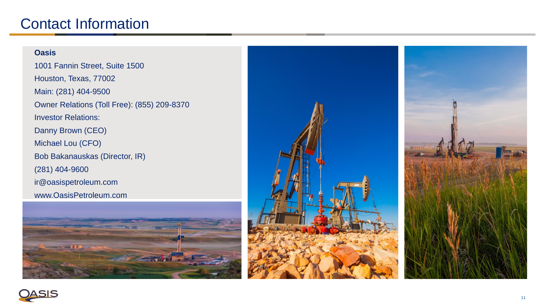## Contact Information

#### **Oasis**

1001 Fannin Street, Suite 1500 Houston, Texas, 77002 Main: (281) 404 -9500 Owner Relations (Toll Free): (855) 209 -8370 Investor Relations: Danny Brown (CEO) Michael Lou (CFO) Bob Bakanauskas (Director, IR ) (281) 404 -9600 ir@oasispetroleum.com www.OasisPetroleum.com

![](_page_10_Picture_3.jpeg)

![](_page_10_Picture_4.jpeg)

![](_page_10_Picture_5.jpeg)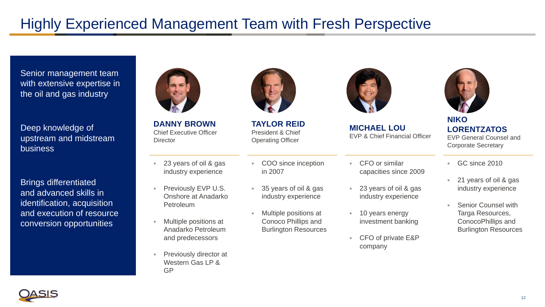# Highly Experienced Management Team with Fresh Perspective

Senior management team with extensive expertise in the oil and gas industry

Deep knowledge of upstream and midstream business

Brings differentiated and advanced skills in identification, acquisition and execution of resource conversion opportunities

![](_page_11_Picture_4.jpeg)

**DANNY BROWN** Chief Executive Officer **Director** 

- 23 years of oil & gas industry experience
- Previously EVP U.S. Onshore at Anadarko Petroleum
- Multiple positions at Anadarko Petroleum and predecessors
- Previously director at Western Gas LP & GP

![](_page_11_Picture_10.jpeg)

**TAYLOR REID** President & Chief Operating Officer

- COO since inception in 2007
- 35 years of oil & gas industry experience
- Multiple positions at Conoco Phillips and Burlington Resources

![](_page_11_Picture_15.jpeg)

**MICHAEL LOU** EVP & Chief Financial Officer

- CFO or similar capacities since 2009
- 23 years of oil & gas industry experience
- 10 years energy investment banking
- CFO of private E&P company

![](_page_11_Picture_21.jpeg)

**NIKO LORENTZATOS** EVP General Counsel and Corporate Secretary

- GC since 2010
- 21 years of oil & gas industry experience
- **Senior Counsel with** Targa Resources, ConocoPhillips and Burlington Resources

![](_page_11_Picture_26.jpeg)